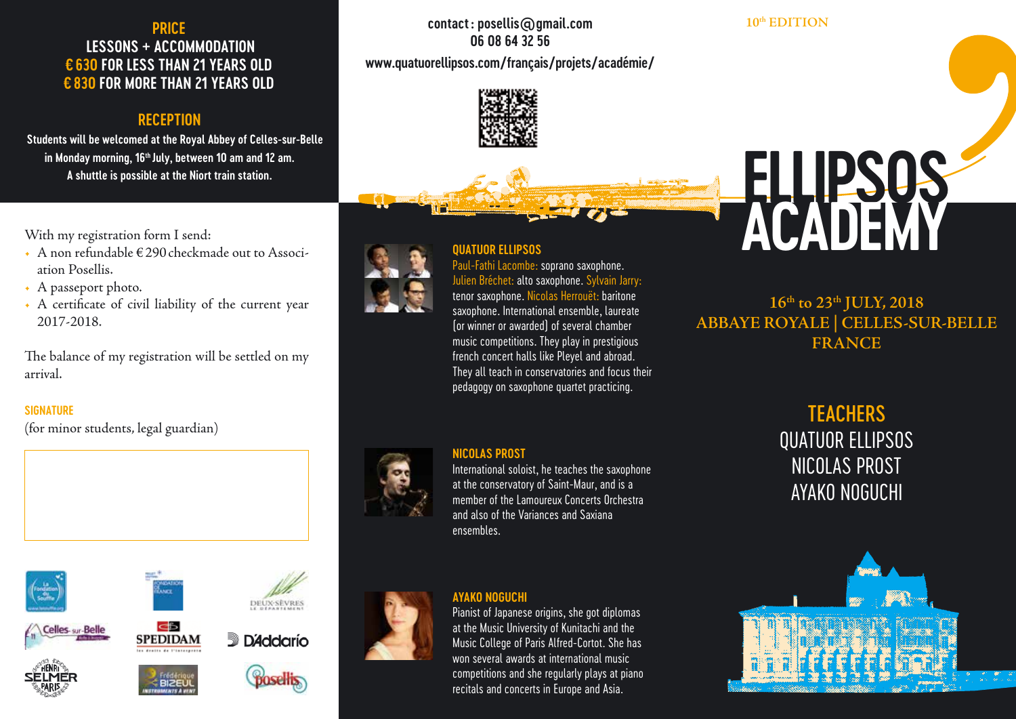# **PRICE LESSONS + ACCOMMODATION €630 FOR LESS THAN 21 YEARS OLD €830 FOR MORE THAN 21 YEARS OLD**

## **RECEPTION**

 **Students will be welcomed at the Royal Abbey of Celles-sur-Belle in Monday morning, 16th July, between 10 am and 12 am. A shuttle is possible at the Niort train station.**

With my registration form I send:

- A non refundable € 290 checkmade out to Association Posellis.
- A passeport photo.
- A certificate of civil liability of the current year 2017-2018.

The balance of my registration will be settled on my arrival.

## **SIGNATURE**

(for minor students, legal guardian)



**SPEDIDAM** 















**D**<sup>2</sup>ddarío

# **contact: posellis@gmail.com 06 08 64 32 56 www.quatuorellipsos.com/français/projets/académie/**

**QUATUOR ELLIPSOS**

Paul-Fathi Lacombe: soprano saxophone. Julien Bréchet: alto saxophone. Sylvain Jarry: tenor saxophone. Nicolas Herrouët: baritone saxophone. International ensemble, laureate (or winner or awarded) of several chamber music competitions. They play in prestigious french concert halls like Pleyel and abroad. They all teach in conservatories and focus their pedagogy on saxophone quartet practicing.

### **10th EDITION**



**16th to 23th JULY, 2018 ABBAYE ROYALE | CELLES-SUR-BELLE FRANCE**



## **NICOLAS PROST**

International soloist, he teaches the saxophone at the conservatory of Saint-Maur, and is a member of the Lamoureux Concerts Orchestra and also of the Variances and Saxiana ensembles.

## **AYAKO NOGUCHI**

Pianist of Japanese origins, she got diplomas at the Music University of Kunitachi and the Music College of Paris Alfred-Cortot. She has won several awards at international music competitions and she regularly plays at piano recitals and concerts in Europe and Asia.

**TEACHERS** QUATUOR ELLIPSOS NICOLAS PROST AYAKO NOGUCHI